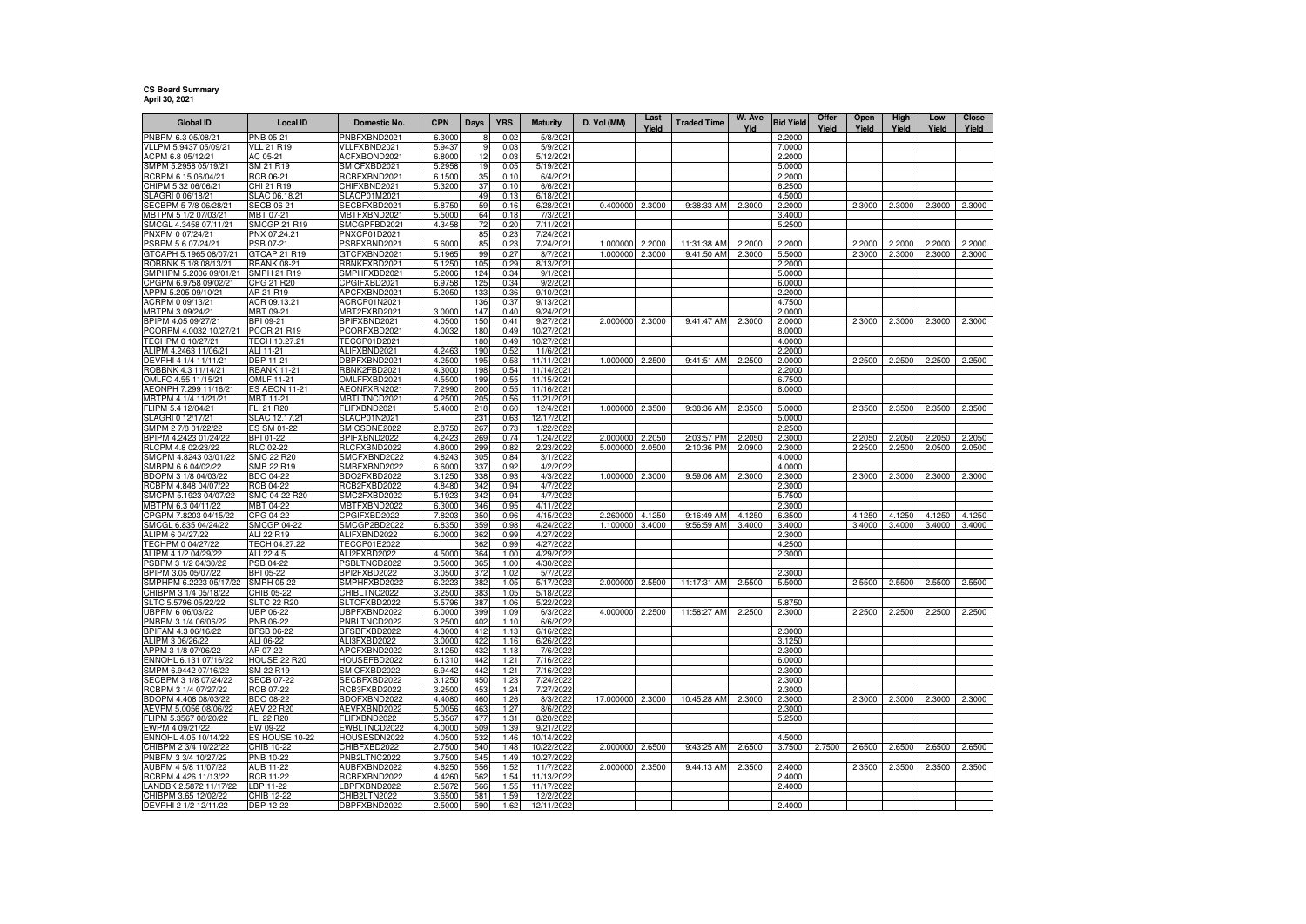## **CS Board Summary April 30, 2021**

| <b>Global ID</b>                                | <b>Local ID</b>                   | Domestic No.                        | <b>CPN</b>       | Days       | <b>YRS</b>   | <b>Maturity</b>         | D. Vol (MM) | Last<br>Yield | <b>Traded Time</b> | W. Ave<br>Yld | <b>Bid Yield</b> | Offer  | Open   | High   | Low    | Close  |
|-------------------------------------------------|-----------------------------------|-------------------------------------|------------------|------------|--------------|-------------------------|-------------|---------------|--------------------|---------------|------------------|--------|--------|--------|--------|--------|
| PNBPM 6.3 05/08/21                              | PNB 05-21                         | PNBFXBND2021                        | 6.3000           |            | 0.02         | 5/8/2021                |             |               |                    |               | 2.2000           | Yield  | Yield  | Yield  | Yield  | Yield  |
| VLLPM 5.9437 05/09/21                           | <b>VLL 21 R19</b>                 | VLLFXBND2021                        | 5.9437           | 9          | 0.03         | 5/9/2021                |             |               |                    |               | 7.0000           |        |        |        |        |        |
| ACPM 6.8 05/12/21                               | AC 05-21                          | ACFXBOND2021                        | 6.8000           | 12         | 0.03         | 5/12/2021               |             |               |                    |               | 2.2000           |        |        |        |        |        |
| SMPM 5.2958 05/19/21                            | SM 21 R19                         | SMICFXBD2021                        | 5.2958           | 19         | 0.05         | 5/19/2021               |             |               |                    |               | 5.0000           |        |        |        |        |        |
| RCBPM 6.15 06/04/21                             | RCB 06-21                         | RCBFXBND2021                        | 6.1500           | 35         | 0.10         | 6/4/2021                |             |               |                    |               | 2.2000           |        |        |        |        |        |
| CHIPM 5.32 06/06/21<br>SLAGRI 0 06/18/21        | CHI 21 R19<br>SLAC 06.18.21       | CHIFXBND2021<br>SLACP01M2021        | 5.3200           | 37<br>49   | 0.10<br>0.13 | 6/6/2021<br>6/18/2021   |             |               |                    |               | 6.2500<br>4.5000 |        |        |        |        |        |
| SECBPM 5 7/8 06/28/21                           | <b>SECB 06-21</b>                 | SECBFXBD2021                        | 5.8750           | 59         | 0.16         | 6/28/2021               | 0.400000    | 2.3000        | 9:38:33 AM         | 2.3000        | 2.2000           |        | 2.3000 | 2.3000 | 2.3000 | 2.3000 |
| MBTPM 5 1/2 07/03/21                            | MBT 07-21                         | MBTFXBND2021                        | 5,5000           | 64         | 0.18         | 7/3/2021                |             |               |                    |               | 3.4000           |        |        |        |        |        |
| SMCGL 4.3458 07/11/21                           | SMCGP 21 R19                      | SMCGPFBD2021                        | 4.3458           | 72         | 0.20         | 7/11/2021               |             |               |                    |               | 5.2500           |        |        |        |        |        |
| PNXPM 0 07/24/21                                | PNX 07.24.21                      | PNXCP01D2021                        |                  | 85         | 0.23         | 7/24/2021               |             |               |                    |               |                  |        |        |        |        |        |
| PSBPM 5.6 07/24/21                              | PSB 07-21                         | PSBFXBND2021                        | 5.6000           | 85         | 0.23         | 7/24/2021               | 1.000000    | 2.2000        | 11:31:38 AM        | 2.2000        | 2.2000           |        | 2.2000 | 2.2000 | 2.2000 | 2.2000 |
| GTCAPH 5.1965 08/07/21                          | GTCAP 21 R19                      | GTCFXBND2021                        | 5.1965           | 99         | 0.27         | 8/7/2021                | 1.000000    | 2.3000        | 9:41:50 AM         | 2.3000        | 5.5000           |        | 2.3000 | 2.3000 | 2.3000 | 2.3000 |
| ROBBNK 5 1/8 08/13/21<br>SMPHPM 5.2006 09/01/21 | <b>RBANK 08-21</b><br>SMPH 21 R19 | RBNKFXBD2021<br>SMPHFXBD2021        | 5.1250<br>5.2006 | 105<br>124 | 0.29<br>0.34 | 8/13/2021<br>9/1/2021   |             |               |                    |               | 2.2000<br>5.0000 |        |        |        |        |        |
| CPGPM 6.9758 09/02/21                           | CPG 21 R20                        | CPGIFXBD2021                        | 6.9758           | 125        | 0.34         | 9/2/2021                |             |               |                    |               | 6.0000           |        |        |        |        |        |
| APPM 5.205 09/10/21                             | AP 21 R19                         | APCFXBND2021                        | 5.2050           | 133        | 0.36         | 9/10/2021               |             |               |                    |               | 2.2000           |        |        |        |        |        |
| ACRPM 0 09/13/21                                | ACR 09.13.21                      | ACRCP01N2021                        |                  | 136        | 0.37         | 9/13/2021               |             |               |                    |               | 4.7500           |        |        |        |        |        |
| MBTPM 3 09/24/21                                | MBT 09-21                         | MBT2FXBD2021                        | 3.0000           | 147        | 0.40         | 9/24/2021               |             |               |                    |               | 2.0000           |        |        |        |        |        |
| BPIPM 4.05 09/27/21                             | BPI 09-21                         | BPIFXBND2021                        | 4.0500           | 150        | 0.41         | 9/27/2021               | 2.000000    | 2.3000        | 9:41:47 AM         | 2.3000        | 2.0000           |        | 2.3000 | 2.3000 | 2.3000 | 2.3000 |
| PCORPM 4.0032 10/27/21                          | PCOR 21 R19<br>TECH 10.27.21      | PCORFXBD2021<br><b>TECCP01D2021</b> | 4.0032           | 180<br>180 | 0.49<br>0.49 | 10/27/2021              |             |               |                    |               | 8.0000           |        |        |        |        |        |
| TECHPM 0 10/27/21<br>ALIPM 4.2463 11/06/21      | ALI 11-21                         | ALIFXBND2021                        | 4.246            | 190        | 0.52         | 10/27/2021<br>11/6/2021 |             |               |                    |               | 4.0000<br>2.2000 |        |        |        |        |        |
| DEVPHI 4 1/4 11/11/21                           | DBP 11-21                         | DBPFXBND2021                        | 4.2500           | 195        | 0.53         | 11/11/2021              | 1.000000    | 2.2500        | 9:41:51 AM         | 2.2500        | 2.0000           |        | 2.2500 | 2.2500 | 2.2500 | 2.2500 |
| ROBBNK 4.3 11/14/21                             | <b>RBANK 11-21</b>                | RBNK2FBD2021                        | 4.3000           | 198        | 0.54         | 11/14/2021              |             |               |                    |               | 2.2000           |        |        |        |        |        |
| OMLFC 4.55 11/15/21                             | OMLF 11-21                        | OMLFFXBD2021                        | 4.5500           | 199        | 0.55         | 11/15/2021              |             |               |                    |               | 6.7500           |        |        |        |        |        |
| AEONPH 7.299 11/16/21                           | ES AEON 11-21                     | AEONFXRN2021                        | 7.2990           | 200        | 0.55         | 11/16/2021              |             |               |                    |               | 8.0000           |        |        |        |        |        |
| MBTPM 4 1/4 11/21/21                            | MBT 11-21                         | MBTLTNCD2021                        | 4.2500           | 205        | 0.56         | 11/21/2021              |             |               |                    |               |                  |        |        |        |        |        |
| FLIPM 5.4 12/04/21                              | FLI 21 R20<br>SLAC 12.17.21       | FLIFXBND2021                        | 5.4000           | 218        | 0.60         | 12/4/2021<br>12/17/2021 | 1.000000    | 2.3500        | 9:38:36 AM         | 2.3500        | 5.0000           |        | 2.3500 | 2.3500 | 2.3500 | 2.3500 |
| SLAGRI 0 12/17/21<br>SMPM 2 7/8 01/22/22        | ES SM 01-22                       | SLACP01N2021<br>SMICSDNE2022        | 2.8750           | 231<br>267 | 0.63<br>0.73 | 1/22/2022               |             |               |                    |               | 5.0000<br>2.2500 |        |        |        |        |        |
| BPIPM 4.2423 01/24/22                           | BPI 01-22                         | BPIFXBND2022                        | 4.242            | 269        | 0.74         | 1/24/2022               | 2.000000    | 2.2050        | 2:03:57 PM         | 2.2050        | 2.3000           |        | 2.2050 | 2.2050 | 2.2050 | 2.2050 |
| RLCPM 4.8 02/23/22                              | RLC 02-22                         | RLCFXBND2022                        | 4.8000           | 299        | 0.82         | 2/23/2022               | 5.000000    | 2.0500        | 2:10:36 PM         | 2.0900        | 2.3000           |        | 2.2500 | 2.2500 | 2.0500 | 2.0500 |
| SMCPM 4.8243 03/01/22                           | SMC 22 R20                        | SMCFXBND2022                        | 4.824            | 305        | 0.84         | 3/1/2022                |             |               |                    |               | 4.0000           |        |        |        |        |        |
| SMBPM 6.6 04/02/22                              | SMB 22 R19                        | SMBFXBND2022                        | 6.6000           | 337        | 0.92         | 4/2/2022                |             |               |                    |               | 4.0000           |        |        |        |        |        |
| BDOPM 3 1/8 04/03/22                            | <b>BDO 04-22</b>                  | BDO2FXBD2022                        | 3.1250           | 338        | 0.93         | 4/3/2022                | 1.000000    | 2.3000        | 9:59:06 AM         | 2.3000        | 2.3000           |        | 2.3000 | 2.3000 | 2.3000 | 2.3000 |
| RCBPM 4.848 04/07/22<br>SMCPM 5.1923 04/07/22   | <b>RCB 04-22</b><br>SMC 04-22 R20 | RCB2FXBD2022<br>SMC2FXBD2022        | 4.8480<br>5.192  | 342<br>342 | 0.94<br>0.94 | 4/7/2022<br>4/7/2022    |             |               |                    |               | 2.3000<br>5.7500 |        |        |        |        |        |
| MBTPM 6.3 04/11/22                              | MBT 04-22                         | MBTFXBND2022                        | 6.3000           | 346        | 0.95         | 4/11/2022               |             |               |                    |               | 2.3000           |        |        |        |        |        |
| CPGPM 7.8203 04/15/22                           | CPG 04-22                         | CPGIFXBD2022                        | 7.820            | 350        | 0.96         | 4/15/2022               | 2.260000    | 4.1250        | 9:16:49 AM         | 4.1250        | 6.3500           |        | 4.1250 | 4.1250 | 4.1250 | 4.1250 |
| SMCGL 6.835 04/24/22                            | <b>SMCGP 04-22</b>                | SMCGP2BD2022                        | 6.8350           | 359        | 0.98         | 4/24/2022               | 1.100000    | 3.4000        | 9:56:59 AM         | 3.4000        | 3.4000           |        | 3.4000 | 3.4000 | 3.4000 | 3.4000 |
| ALIPM 6 04/27/22                                | ALI 22 R19                        | ALIFXBND2022                        | 6.0000           | 362        | 0.99         | 4/27/2022               |             |               |                    |               | 2.3000           |        |        |        |        |        |
| TECHPM 0 04/27/22                               | TECH 04.27.22                     | TECCP01E2022                        |                  | 362        | 0.99         | 4/27/2022               |             |               |                    |               | 4.2500           |        |        |        |        |        |
| ALIPM 4 1/2 04/29/22<br>PSBPM 3 1/2 04/30/22    | ALI 22 4.5<br>PSB 04-22           | ALI2FXBD2022<br>PSBLTNCD2022        | 4.5000<br>3.5000 | 364<br>365 | 1.00<br>1.00 | 4/29/2022<br>4/30/2022  |             |               |                    |               | 2.3000           |        |        |        |        |        |
| BPIPM 3.05 05/07/22                             | BPI 05-22                         | BPI2FXBD2022                        | 3.0500           | 372        | 1.02         | 5/7/202                 |             |               |                    |               | 2.3000           |        |        |        |        |        |
| SMPHPM 6.2223 05/17/22                          | <b>SMPH 05-22</b>                 | SMPHFXBD2022                        | 6.222            | 382        | 1.05         | 5/17/2022               | 2.000000    | 2.5500        | 11:17:31 AM        | 2.5500        | 5.5000           |        | 2.5500 | 2.5500 | 2.5500 | 2.5500 |
| CHIBPM 3 1/4 05/18/22                           | CHIB 05-22                        | CHIBLTNC2022                        | 3.2500           | 383        | 1.05         | 5/18/2022               |             |               |                    |               |                  |        |        |        |        |        |
| SLTC 5.5796 05/22/22                            | <b>SLTC 22 R20</b>                | SLTCFXBD2022                        | 5.5796           | 387        | 1.06         | 5/22/202                |             |               |                    |               | 5.8750           |        |        |        |        |        |
| UBPPM 6 06/03/22                                | UBP 06-22                         | UBPFXBND2022                        | 6.0000           | 399        | 1.09         | 6/3/2022                | 4.000000    | 2.2500        | 11:58:27 AM        | 2.2500        | 2.3000           |        | 2.2500 | 2.2500 | 2.2500 | 2.2500 |
| PNBPM 3 1/4 06/06/22<br>BPIFAM 4.3 06/16/22     | PNB 06-22                         | PNBLTNCD2022<br>BFSBFXBD2022        | 3.2500<br>4.3000 | 402<br>412 | 1.10<br>1.13 | 6/6/2022<br>6/16/2022   |             |               |                    |               | 2.3000           |        |        |        |        |        |
| ALIPM 3 06/26/22                                | <b>BFSB 06-22</b><br>ALI 06-22    | ALI3FXBD2022                        | 3.0000           | 422        | 1.16         | 6/26/2022               |             |               |                    |               | 3.1250           |        |        |        |        |        |
| APPM 3 1/8 07/06/22                             | AP 07-22                          | APCFXBND2022                        | 3.1250           | 432        | 1.18         | 7/6/2022                |             |               |                    |               | 2.3000           |        |        |        |        |        |
| ENNOHL 6.131 07/16/22                           | <b>HOUSE 22 R20</b>               | HOUSEFBD2022                        | 6.1310           | 442        | 1.21         | 7/16/2022               |             |               |                    |               | 6.0000           |        |        |        |        |        |
| SMPM 6.9442 07/16/22                            | SM 22 R19                         | SMICFXBD2022                        | 6.9442           | 442        | 1.21         | 7/16/2022               |             |               |                    |               | 2.3000           |        |        |        |        |        |
| SECBPM 3 1/8 07/24/22                           | <b>SECB 07-22</b>                 | SECBFXBD2022                        | 3.1250           | 450        | 1.23         | 7/24/2022               |             |               |                    |               | 2.3000           |        |        |        |        |        |
| RCBPM 3 1/4 07/27/22                            | RCB 07-22                         | RCB3FXBD2022                        | 3.2500           | 453        | 1.24         | 7/27/2022               |             |               |                    |               | 2.3000           |        |        |        |        |        |
| BDOPM 4.408 08/03/22<br>AEVPM 5.0056 08/06/22   | BDO 08-22<br>AEV 22 R20           | BDOFXBND2022<br>AEVFXBND2022        | 4.4080<br>5.0056 | 460<br>463 | 1.26<br>1.27 | 8/3/2022<br>8/6/2022    | 17.000000   | 2.3000        | 10:45:28 AM        | 2.3000        | 2.3000<br>2.3000 |        | 2.3000 | 2.3000 | 2.3000 | 2.3000 |
| FLIPM 5.3567 08/20/22                           | FLI 22 R20                        | FLIFXBND2022                        | 5.3567           | 477        | 1.31         | 8/20/2022               |             |               |                    |               | 5.2500           |        |        |        |        |        |
| EWPM 4 09/21/22                                 | EW 09-22                          | EWBLTNCD2022                        | 4.0000           | 509        | 1.39         | 9/21/2022               |             |               |                    |               |                  |        |        |        |        |        |
| NNOHL 4.05 10/14/22                             | <b>ES HOUSE 10-22</b>             | HOUSESDN2022                        | 4.0500           | 532        | 1.46         | 10/14/2022              |             |               |                    |               | 4.5000           |        |        |        |        |        |
| CHIBPM 2 3/4 10/22/22                           | CHIB 10-22                        | CHIBFXBD2022                        | 2.7500           | 540        | 1.48         | 10/22/2022              | 2.000000    | 2.6500        | 9:43:25 AM         | 2.6500        | 3.7500           | 2.7500 | 2.6500 | 2.6500 | 2.6500 | 2.6500 |
| PNBPM 3 3/4 10/27/22                            | <b>PNB 10-22</b>                  | PNB2LTNC2022                        | 3.7500           | 545        | 1.49         | 10/27/2022              |             |               |                    |               |                  |        |        |        |        |        |
| AUBPM 4 5/8 11/07/22                            | <b>AUB 11-22</b>                  | AUBFXBND2022                        | 4.6250           | 556        | 1.52         | 11/7/2022               | 2.000000    | 2.3500        | 9:44:13 AM         | 2.3500        | 2.4000           |        | 2.3500 | 2.3500 | 2.3500 | 2.3500 |
| RCBPM 4.426 11/13/22<br>LANDBK 2.5872 11/17/22  | RCB 11-22<br>LBP 11-22            | RCBFXBND2022<br>LBPFXBND2022        | 4.4260<br>2.5872 | 562<br>566 | 1.54<br>1.55 | 11/13/2022<br>11/17/202 |             |               |                    |               | 2.4000<br>2.4000 |        |        |        |        |        |
| CHIBPM 3.65 12/02/22                            | CHIB 12-22                        | CHIB2LTN2022                        | 3.6500           | 581        | 1.59         | 12/2/2022               |             |               |                    |               |                  |        |        |        |        |        |
| DEVPHI 2 1/2 12/11/22                           | DBP 12-22                         | DBPFXBND2022                        | 2.5000           | 590        | 1.62         | 12/11/2022              |             |               |                    |               | 2.4000           |        |        |        |        |        |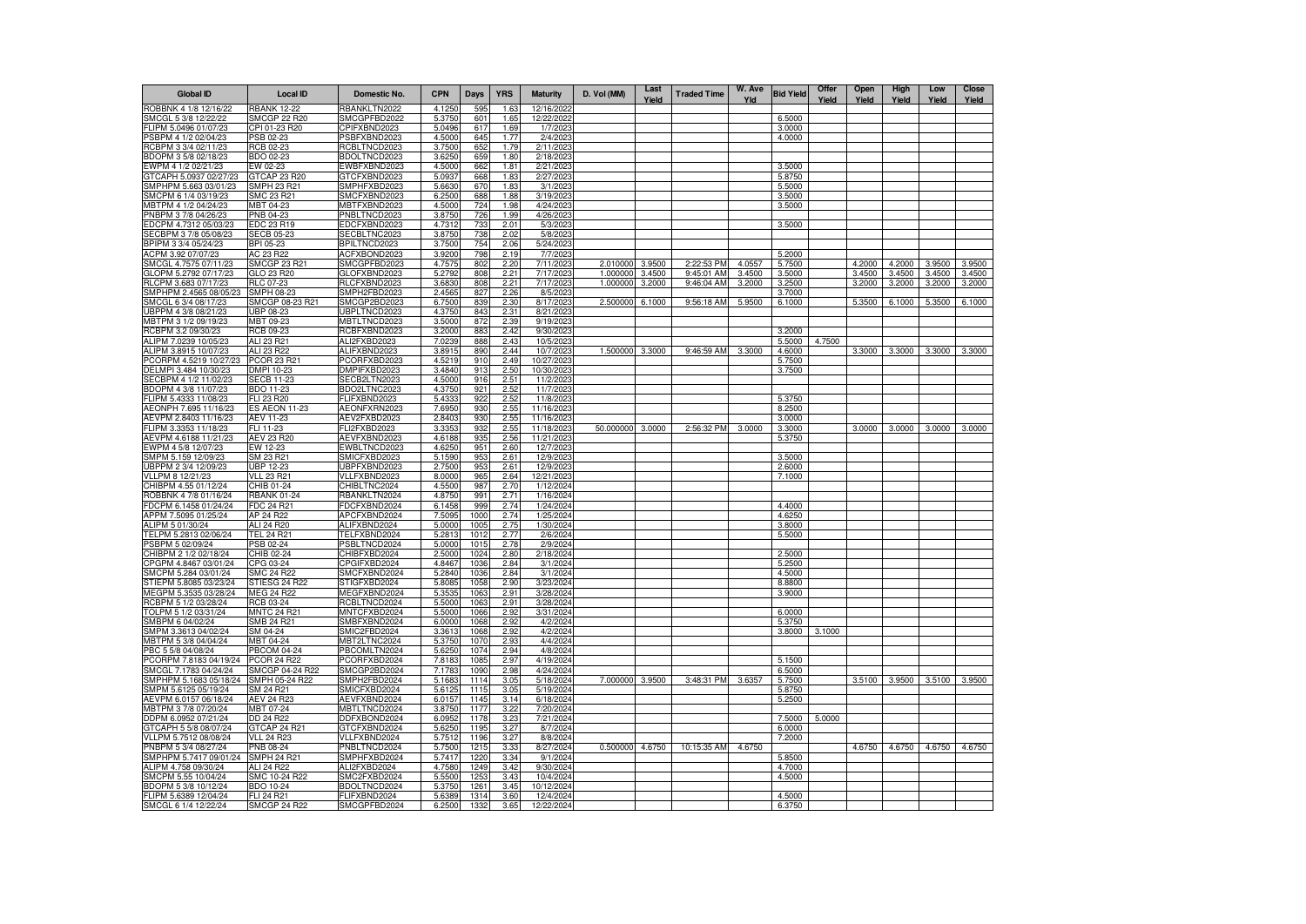| <b>Global ID</b>                                | <b>Local ID</b>                       | Domestic No.                        | <b>CPN</b>       | <b>Days</b>  | <b>YRS</b>   | <b>Maturity</b>          | D. Vol (MM) | Last<br>Yield | <b>Traded Time</b> | W. Ave<br>Yld | <b>Bid Yield</b> | Offer<br>Yield | Open<br>Yield | High<br>Yield | Low<br>Yield | <b>Close</b><br>Yield |
|-------------------------------------------------|---------------------------------------|-------------------------------------|------------------|--------------|--------------|--------------------------|-------------|---------------|--------------------|---------------|------------------|----------------|---------------|---------------|--------------|-----------------------|
| ROBBNK 4 1/8 12/16/22                           | <b>RBANK 12-22</b>                    | RBANKLTN2022                        | 4.125            | 595          | 1.6          | 12/16/202                |             |               |                    |               |                  |                |               |               |              |                       |
| SMCGL 5 3/8 12/22/22                            | <b>SMCGP 22 R20</b>                   | SMCGPFBD2022                        | 5.3750           | 601          | 1.65         | 12/22/2022               |             |               |                    |               | 6.5000           |                |               |               |              |                       |
| FLIPM 5.0496 01/07/23<br>PSBPM 4 1/2 02/04/23   | CPI 01-23 R20<br>PSB 02-23            | CPIFXBND2023<br>PSBFXBND2023        | 5.0496<br>4.5000 | 617<br>645   | 1.69<br>1.77 | 1/7/2023<br>2/4/2023     |             |               |                    |               | 3.0000<br>4.0000 |                |               |               |              |                       |
| RCBPM 3 3/4 02/11/23                            | RCB 02-23                             | RCBLTNCD2023                        | 3.7500           | 652          | 1.79         | 2/11/2023                |             |               |                    |               |                  |                |               |               |              |                       |
| BDOPM 3 5/8 02/18/23                            | BDO 02-23                             | BDOLTNCD2023                        | 3.6250           | 659          | 1.80         | 2/18/2023                |             |               |                    |               |                  |                |               |               |              |                       |
| EWPM 4 1/2 02/21/23                             | EW 02-23                              | EWBFXBND2023                        | 4.5000           | 662          | 1.81         | 2/21/2023                |             |               |                    |               | 3.5000           |                |               |               |              |                       |
| GTCAPH 5.0937 02/27/23                          | GTCAP 23 R20                          | GTCFXBND2023                        | 5.0937           | 668          | 1.83         | 2/27/2023                |             |               |                    |               | 5.8750           |                |               |               |              |                       |
| SMPHPM 5.663 03/01/23<br>SMCPM 6 1/4 03/19/23   | SMPH 23 R21<br>SMC 23 R21             | SMPHFXBD2023<br>SMCFXBND2023        | 5.6630<br>6.2500 | 670<br>688   | 1.83<br>1.88 | 3/1/2023<br>3/19/2023    |             |               |                    |               | 5.5000<br>3.5000 |                |               |               |              |                       |
| MBTPM 4 1/2 04/24/23                            | MBT 04-23                             | MBTFXBND2023                        | 4.5000           | 724          | 1.98         | 4/24/202                 |             |               |                    |               | 3.5000           |                |               |               |              |                       |
| PNBPM 3 7/8 04/26/23                            | PNB 04-23                             | PNBLTNCD2023                        | 3.8750           | 726          | 1.99         | 4/26/2023                |             |               |                    |               |                  |                |               |               |              |                       |
| EDCPM 4.7312 05/03/23                           | EDC 23 R19                            | EDCFXBND2023                        | 4.7312           | 733          | 2.01         | 5/3/2023                 |             |               |                    |               | 3.5000           |                |               |               |              |                       |
| SECBPM 3 7/8 05/08/23                           | <b>SECB 05-23</b>                     | SECBLTNC2023                        | 3.8750           | 738          | 2.02         | 5/8/2023                 |             |               |                    |               |                  |                |               |               |              |                       |
| BPIPM 3 3/4 05/24/23<br>ACPM 3.92 07/07/23      | BPI 05-23<br>AC 23 R22                | BPILTNCD2023<br>ACFXBOND2023        | 3.7500<br>3.9200 | 754<br>798   | 2.06<br>2.19 | 5/24/2023<br>7/7/2023    |             |               |                    |               | 5.2000           |                |               |               |              |                       |
| SMCGL 4.7575 07/11/23                           | SMCGP 23 R21                          | SMCGPFBD2023                        | 4.7575           | 802          | 2.20         | 7/11/2023                | 2.010000    | 3.9500        | 2:22:53 PM         | 4.0557        | 5.7500           |                | 4.2000        | 4.2000        | 3.9500       | 3.9500                |
| GLOPM 5.2792 07/17/23                           | GLO 23 R20                            | GLOFXBND2023                        | 5.2792           | 808          | 2.21         | 7/17/2023                | 1.000000    | 3.4500        | 9:45:01 AM         | 3.4500        | 3.5000           |                | 3.4500        | 3.4500        | 3.4500       | 3.4500                |
| RLCPM 3.683 07/17/23                            | RLC 07-23                             | RLCFXBND2023                        | 3.6830           | 808          | 2.21         | 7/17/2023                | 1.000000    | 3.2000        | 9:46:04 AM         | 3.2000        | 3.2500           |                | 3.2000        | 3.2000        | 3.2000       | 3.2000                |
| SMPHPM 2.4565 08/05/23<br>SMCGL 6 3/4 08/17/23  | SMPH 08-23<br>SMCGP 08-23 R21         | SMPH2FBD2023<br>SMCGP2BD2023        | 2.4565<br>6.7500 | 827<br>839   | 2.26<br>2.30 | 8/5/2023<br>8/17/2023    | 2.500000    | 6.1000        | 9:56:18 AM         | 5.9500        | 3.7000<br>6.1000 |                | 5.3500        | 6.1000        | 5.3500       | 6.1000                |
| UBPPM 4 3/8 08/21/23                            | JBP 08-23                             | JBPLTNCD2023                        | 4.3750           | 843          | 2.31         | 8/21/2023                |             |               |                    |               |                  |                |               |               |              |                       |
| MBTPM 3 1/2 09/19/23                            | MBT 09-23                             | MBTLTNCD2023                        | 3.5000           | 872          | 2.39         | 9/19/2023                |             |               |                    |               |                  |                |               |               |              |                       |
| RCBPM 3.2 09/30/23                              | RCB 09-23                             | RCBFXBND2023                        | 3.2000           | 883          | 2.42         | 9/30/2023                |             |               |                    |               | 3.2000           |                |               |               |              |                       |
| ALIPM 7.0239 10/05/23                           | ALI 23 R21                            | ALI2FXBD2023                        | 7.0239           | 888          | 2.43         | 10/5/2023                |             |               |                    |               | 5.5000           | 4.7500         |               |               |              |                       |
| ALIPM 3.8915 10/07/23<br>PCORPM 4.5219 10/27/23 | ALI 23 R22<br>PCOR 23 R21             | ALIFXBND2023<br>PCORFXBD2023        | 3.8915<br>4.5219 | 890<br>910   | 2.44<br>2.49 | 10/7/2023<br>10/27/2023  | 1.500000    | 3.3000        | 9:46:59 AM         | 3.3000        | 4.6000<br>5.7500 |                | 3.3000        | 3.3000        | 3.3000       | 3.3000                |
| DELMPI 3.484 10/30/23                           | DMPI 10-23                            | DMPIFXBD2023                        | 3.4840           | 913          | 2.50         | 10/30/2023               |             |               |                    |               | 3.7500           |                |               |               |              |                       |
| SECBPM 4 1/2 11/02/23                           | <b>SECB 11-23</b>                     | SECB2LTN2023                        | 4.5000           | 916          | 2.51         | 11/2/2023                |             |               |                    |               |                  |                |               |               |              |                       |
| BDOPM 4 3/8 11/07/23                            | BDO 11-23                             | BDO2LTNC2023                        | 4.3750           | 921          | 2.52         | 11/7/2023                |             |               |                    |               |                  |                |               |               |              |                       |
| FLIPM 5.4333 11/08/23                           | FLI 23 R20                            | <b>ELIFXBND2023</b>                 | 5.4333           | 922          | 2.52         | 11/8/2023                |             |               |                    |               | 5.3750           |                |               |               |              |                       |
| AEONPH 7.695 11/16/23<br>AEVPM 2.8403 11/16/23  | <b>ES AEON 11-23</b><br>AEV 11-23     | AEONFXRN2023<br>AEV2FXBD2023        | 7.6950<br>2.8403 | 930<br>930   | 2.55<br>2.55 | 11/16/2023<br>11/16/2023 |             |               |                    |               | 8.2500<br>3.0000 |                |               |               |              |                       |
| FLIPM 3.3353 11/18/23                           | FLI 11-23                             | FLI2FXBD2023                        | 3.3353           | 932          | 2.55         | 11/18/2023               | 50,000000   | 3.0000        | 2:56:32 PM         | 3.0000        | 3.3000           |                | 3.0000        | 3.0000        | 3.0000       | 3.0000                |
| AEVPM 4.6188 11/21/23                           | AEV 23 R20                            | AEVFXBND2023                        | 4.6188           | 935          | 2.56         | 11/21/2023               |             |               |                    |               | 5.3750           |                |               |               |              |                       |
| EWPM 4 5/8 12/07/23                             | EW 12-23                              | EWBLTNCD2023                        | 4.6250           | 951          | 2.60         | 12/7/2023                |             |               |                    |               |                  |                |               |               |              |                       |
| SMPM 5.159 12/09/23                             | SM 23 R21                             | SMICFXBD2023                        | 5.1590<br>2.7500 | 953          | 2.61         | 12/9/2023                |             |               |                    |               | 3.5000           |                |               |               |              |                       |
| UBPPM 2 3/4 12/09/23<br>VLLPM 8 12/21/23        | UBP 12-23<br>VLL 23 R21               | JBPFXBND2023<br>VLLFXBND2023        | 8.0000           | 953<br>965   | 2.61<br>2.64 | 12/9/2023<br>12/21/2023  |             |               |                    |               | 2.6000<br>7.1000 |                |               |               |              |                       |
| CHIBPM 4.55 01/12/24                            | CHIB 01-24                            | CHIBLTNC2024                        | 4.5500           | 987          | 2.70         | 1/12/2024                |             |               |                    |               |                  |                |               |               |              |                       |
| ROBBNK 4 7/8 01/16/24                           | <b>RBANK 01-24</b>                    | RBANKLTN2024                        | 4.8750           | 991          | 2.71         | 1/16/2024                |             |               |                    |               |                  |                |               |               |              |                       |
| FDCPM 6.1458 01/24/24                           | FDC 24 R21                            | FDCFXBND2024                        | 6.1458           | 999          | 2.74         | 1/24/2024                |             |               |                    |               | 4.4000           |                |               |               |              |                       |
| APPM 7.5095 01/25/24<br>ALIPM 5 01/30/24        | AP 24 R22<br>ALI 24 R20               | APCFXBND2024<br>ALIFXBND2024        | 7.5095<br>5.0000 | 1000<br>1005 | 2.74<br>2.75 | 1/25/2024<br>1/30/2024   |             |               |                    |               | 4.6250<br>3.8000 |                |               |               |              |                       |
| TELPM 5.2813 02/06/24                           | TEL 24 R21                            | TELFXBND2024                        | 5.2813           | 1012         | 2.77         | 2/6/2024                 |             |               |                    |               | 5.5000           |                |               |               |              |                       |
| PSBPM 5 02/09/24                                | PSB 02-24                             | PSBLTNCD2024                        | 5.0000           | 1015         | 2.78         | 2/9/2024                 |             |               |                    |               |                  |                |               |               |              |                       |
| CHIBPM 2 1/2 02/18/24                           | CHIB 02-24                            | CHIBFXBD2024                        | 2.5000           | 1024         | 2.80         | 2/18/2024                |             |               |                    |               | 2.5000           |                |               |               |              |                       |
| CPGPM 4.8467 03/01/24                           | CPG 03-24                             | CPGIFXBD2024                        | 4.8467           | 1036         | 2.84         | 3/1/2024                 |             |               |                    |               | 5.2500           |                |               |               |              |                       |
| SMCPM 5.284 03/01/24<br>STIEPM 5.8085 03/23/24  | SMC 24 R22<br>STIESG 24 R22           | SMCFXBND2024<br>STIGFXBD2024        | 5.2840<br>5.8085 | 1036<br>1058 | 2.84<br>2.90 | 3/1/2024<br>3/23/2024    |             |               |                    |               | 4.5000<br>8.8800 |                |               |               |              |                       |
| MEGPM 5.3535 03/28/24                           | MEG 24 R22                            | MEGFXBND2024                        | 5.3535           | 1063         | 2.91         | 3/28/2024                |             |               |                    |               | 3.9000           |                |               |               |              |                       |
| RCBPM 5 1/2 03/28/24                            | RCB 03-24                             | RCBLTNCD2024                        | 5.5000           | 106          | 2.91         | 3/28/2024                |             |               |                    |               |                  |                |               |               |              |                       |
| TOLPM 5 1/2 03/31/24                            | <b>MNTC 24 R21</b>                    | MNTCFXBD2024                        | 5.5000           | 1066         | 2.92         | 3/31/2024                |             |               |                    |               | 6.0000           |                |               |               |              |                       |
| SMBPM 6 04/02/24<br>SMPM 3.3613 04/02/24        | SMB 24 R21<br>SM 04-24                | SMBFXBND2024<br>SMIC2FBD2024        | 6.0000<br>3.3613 | 1068<br>1068 | 2.92<br>2.92 | 4/2/2024<br>4/2/2024     |             |               |                    |               | 5.3750<br>3.8000 | 3.1000         |               |               |              |                       |
| MBTPM 5 3/8 04/04/24                            | MBT 04-24                             | MBT2LTNC2024                        | 5.3750           | 1070         | 2.93         | 4/4/2024                 |             |               |                    |               |                  |                |               |               |              |                       |
| PBC 5 5/8 04/08/24                              | PBCOM 04-24                           | PBCOMLTN2024                        | 5.6250           | 1074         | 2.94         | 4/8/2024                 |             |               |                    |               |                  |                |               |               |              |                       |
| PCORPM 7.8183 04/19/24                          | <b>PCOR 24 R22</b>                    | PCORFXBD2024                        | 7.8183           | 1085         | 2.97         | 4/19/2024                |             |               |                    |               | 5.1500           |                |               |               |              |                       |
| SMCGL 7.1783 04/24/24                           | SMCGP 04-24 R22                       | SMCGP2BD2024                        | 7.1783           | 1090         | 2.98         | 4/24/2024                |             |               |                    |               | 6.5000           |                |               |               |              |                       |
| SMPHPM 5.1683 05/18/24<br>SMPM 5.6125 05/19/24  | SMPH 05-24 R22<br>SM 24 R21           | SMPH2FBD2024<br>SMICFXBD2024        | 5.1683<br>5.6125 | 1114<br>1115 | 3.05<br>3.05 | 5/18/2024<br>5/19/2024   | 7.000000    | 3.9500        | 3:48:31 PM         | 3.6357        | 5.7500<br>5.8750 |                | 3.5100        | 3.9500        | 3.5100       | 3.9500                |
| AEVPM 6.0157 06/18/24                           | AEV 24 R23                            | AEVFXBND2024                        | 6.0157           | 1145         | 3.14         | 6/18/2024                |             |               |                    |               | 5.2500           |                |               |               |              |                       |
| MBTPM 3 7/8 07/20/24                            | MBT 07-24                             | MBTLTNCD2024                        | 3.8750           | 1177         | 3.22         | 7/20/2024                |             |               |                    |               |                  |                |               |               |              |                       |
| DDPM 6.0952 07/21/24                            | DD 24 R22                             | DDFXBOND2024                        | 6.0952           | 1178         | 3.23         | 7/21/2024                |             |               |                    |               | 7.5000           | 5.0000         |               |               |              |                       |
| GTCAPH 5 5/8 08/07/24                           | GTCAP 24 R21                          | GTCFXBND2024                        | 5.6250           | 1195         | 3.27         | 8/7/2024                 |             |               |                    |               | 6.0000           |                |               |               |              |                       |
| VLLPM 5.7512 08/08/24<br>PNBPM 5 3/4 08/27/24   | <b>VLL 24 R23</b><br><b>PNB 08-24</b> | VLLFXBND2024<br>PNBLTNCD2024        | 5.7512<br>5.7500 | 1196<br>1215 | 3.27<br>3.33 | 8/8/2024<br>8/27/2024    | 0.500000    | 4.6750        | 10:15:35 AM        | 4.6750        | 7.2000           |                | 4.6750        | 4.6750        | 4.6750       | 4.6750                |
| SMPHPM 5.7417 09/01/24                          | <b>SMPH 24 R21</b>                    | SMPHFXBD2024                        | 5.7417           | 1220         | 3.34         | 9/1/2024                 |             |               |                    |               | 5.8500           |                |               |               |              |                       |
| ALIPM 4.758 09/30/24                            | ALI 24 R22                            | ALI2FXBD2024                        | 4.7580           | 1249         | 3.42         | 9/30/2024                |             |               |                    |               | 4.7000           |                |               |               |              |                       |
| SMCPM 5.55 10/04/24                             | SMC 10-24 R22                         | SMC2FXBD2024                        | 5.5500           | 125          | 3.43         | 10/4/2024                |             |               |                    |               | 4.5000           |                |               |               |              |                       |
| BDOPM 5 3/8 10/12/24<br>FLIPM 5.6389 12/04/24   | <b>BDO 10-24</b><br><b>FLI 24 R21</b> | <b>BDOLTNCD2024</b><br>FLIFXBND2024 | 5.3750<br>5.6389 | 126<br>1314  | 3.45<br>3.60 | 10/12/2024<br>12/4/2024  |             |               |                    |               |                  |                |               |               |              |                       |
| SMCGL 6 1/4 12/22/24                            | <b>SMCGP 24 R22</b>                   | SMCGPFBD2024                        | 6.2500           | 1332         | 3.65         | 12/22/2024               |             |               |                    |               | 4.5000<br>6.3750 |                |               |               |              |                       |
|                                                 |                                       |                                     |                  |              |              |                          |             |               |                    |               |                  |                |               |               |              |                       |